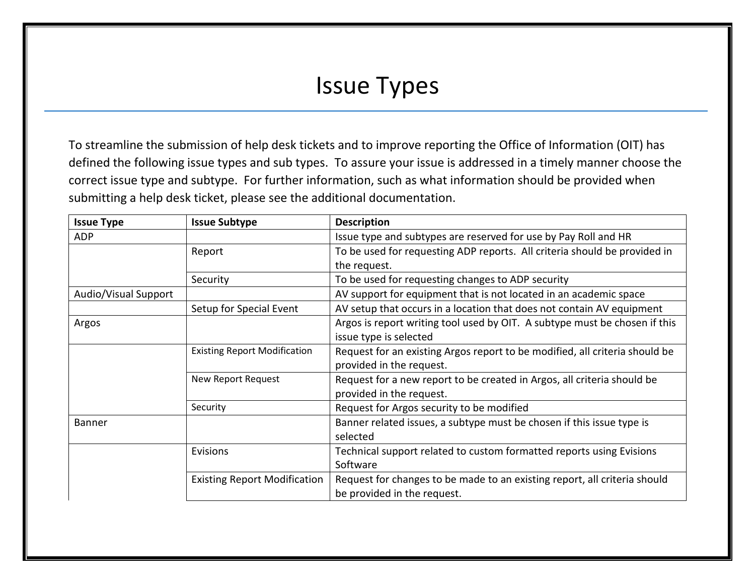## Issue Types

To streamline the submission of help desk tickets and to improve reporting the Office of Information (OIT) has defined the following issue types and sub types. To assure your issue is addressed in a timely manner choose the correct issue type and subtype. For further information, such as what information should be provided when submitting a help desk ticket, please see the additional documentation.

| <b>Issue Type</b>    | <b>Issue Subtype</b>                | <b>Description</b>                                                          |
|----------------------|-------------------------------------|-----------------------------------------------------------------------------|
| <b>ADP</b>           |                                     | Issue type and subtypes are reserved for use by Pay Roll and HR             |
|                      | Report                              | To be used for requesting ADP reports. All criteria should be provided in   |
|                      |                                     | the request.                                                                |
|                      | Security                            | To be used for requesting changes to ADP security                           |
| Audio/Visual Support |                                     | AV support for equipment that is not located in an academic space           |
|                      | Setup for Special Event             | AV setup that occurs in a location that does not contain AV equipment       |
| Argos                |                                     | Argos is report writing tool used by OIT. A subtype must be chosen if this  |
|                      |                                     | issue type is selected                                                      |
|                      | <b>Existing Report Modification</b> | Request for an existing Argos report to be modified, all criteria should be |
|                      |                                     | provided in the request.                                                    |
|                      | New Report Request                  | Request for a new report to be created in Argos, all criteria should be     |
|                      |                                     | provided in the request.                                                    |
|                      | Security                            | Request for Argos security to be modified                                   |
| <b>Banner</b>        |                                     | Banner related issues, a subtype must be chosen if this issue type is       |
|                      |                                     | selected                                                                    |
|                      | Evisions                            | Technical support related to custom formatted reports using Evisions        |
|                      |                                     | Software                                                                    |
|                      | <b>Existing Report Modification</b> | Request for changes to be made to an existing report, all criteria should   |
|                      |                                     | be provided in the request.                                                 |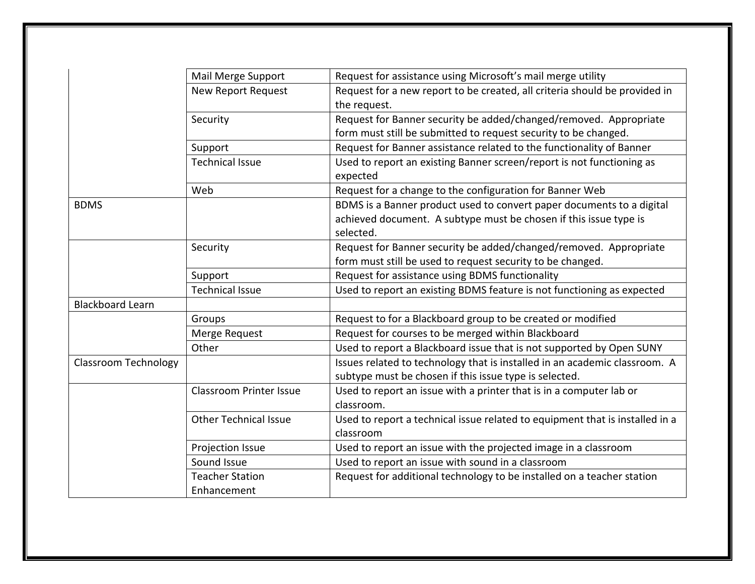|                             | Mail Merge Support             | Request for assistance using Microsoft's mail merge utility                                                                          |
|-----------------------------|--------------------------------|--------------------------------------------------------------------------------------------------------------------------------------|
|                             | <b>New Report Request</b>      | Request for a new report to be created, all criteria should be provided in<br>the request.                                           |
|                             | Security                       | Request for Banner security be added/changed/removed. Appropriate<br>form must still be submitted to request security to be changed. |
|                             | Support                        | Request for Banner assistance related to the functionality of Banner                                                                 |
|                             | <b>Technical Issue</b>         | Used to report an existing Banner screen/report is not functioning as<br>expected                                                    |
|                             | Web                            | Request for a change to the configuration for Banner Web                                                                             |
| <b>BDMS</b>                 |                                | BDMS is a Banner product used to convert paper documents to a digital                                                                |
|                             |                                | achieved document. A subtype must be chosen if this issue type is<br>selected.                                                       |
|                             | Security                       | Request for Banner security be added/changed/removed. Appropriate<br>form must still be used to request security to be changed.      |
|                             | Support                        | Request for assistance using BDMS functionality                                                                                      |
|                             | <b>Technical Issue</b>         | Used to report an existing BDMS feature is not functioning as expected                                                               |
| <b>Blackboard Learn</b>     |                                |                                                                                                                                      |
|                             | Groups                         | Request to for a Blackboard group to be created or modified                                                                          |
|                             | Merge Request                  | Request for courses to be merged within Blackboard                                                                                   |
|                             | Other                          | Used to report a Blackboard issue that is not supported by Open SUNY                                                                 |
| <b>Classroom Technology</b> |                                | Issues related to technology that is installed in an academic classroom. A<br>subtype must be chosen if this issue type is selected. |
|                             | <b>Classroom Printer Issue</b> | Used to report an issue with a printer that is in a computer lab or<br>classroom.                                                    |
|                             | <b>Other Technical Issue</b>   | Used to report a technical issue related to equipment that is installed in a<br>classroom                                            |
|                             | Projection Issue               | Used to report an issue with the projected image in a classroom                                                                      |
|                             | Sound Issue                    | Used to report an issue with sound in a classroom                                                                                    |
|                             | <b>Teacher Station</b>         | Request for additional technology to be installed on a teacher station                                                               |
|                             | Enhancement                    |                                                                                                                                      |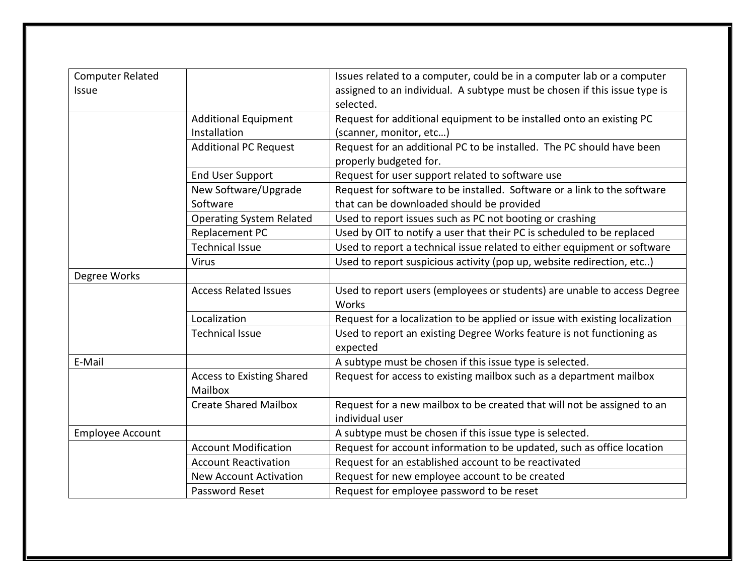| <b>Computer Related</b> |                                             | Issues related to a computer, could be in a computer lab or a computer       |
|-------------------------|---------------------------------------------|------------------------------------------------------------------------------|
| Issue                   |                                             | assigned to an individual. A subtype must be chosen if this issue type is    |
|                         |                                             | selected.                                                                    |
|                         | <b>Additional Equipment</b>                 | Request for additional equipment to be installed onto an existing PC         |
|                         | Installation                                | (scanner, monitor, etc)                                                      |
|                         | <b>Additional PC Request</b>                | Request for an additional PC to be installed. The PC should have been        |
|                         |                                             | properly budgeted for.                                                       |
|                         | <b>End User Support</b>                     | Request for user support related to software use                             |
|                         | New Software/Upgrade                        | Request for software to be installed. Software or a link to the software     |
|                         | Software                                    | that can be downloaded should be provided                                    |
|                         | <b>Operating System Related</b>             | Used to report issues such as PC not booting or crashing                     |
|                         | Replacement PC                              | Used by OIT to notify a user that their PC is scheduled to be replaced       |
|                         | <b>Technical Issue</b>                      | Used to report a technical issue related to either equipment or software     |
|                         | <b>Virus</b>                                | Used to report suspicious activity (pop up, website redirection, etc)        |
| Degree Works            |                                             |                                                                              |
|                         | <b>Access Related Issues</b>                | Used to report users (employees or students) are unable to access Degree     |
|                         |                                             | Works                                                                        |
|                         | Localization                                | Request for a localization to be applied or issue with existing localization |
|                         | <b>Technical Issue</b>                      | Used to report an existing Degree Works feature is not functioning as        |
|                         |                                             | expected                                                                     |
| E-Mail                  |                                             | A subtype must be chosen if this issue type is selected.                     |
|                         | <b>Access to Existing Shared</b><br>Mailbox | Request for access to existing mailbox such as a department mailbox          |
|                         | <b>Create Shared Mailbox</b>                | Request for a new mailbox to be created that will not be assigned to an      |
|                         |                                             | individual user                                                              |
| <b>Employee Account</b> |                                             | A subtype must be chosen if this issue type is selected.                     |
|                         | <b>Account Modification</b>                 | Request for account information to be updated, such as office location       |
|                         | <b>Account Reactivation</b>                 | Request for an established account to be reactivated                         |
|                         | <b>New Account Activation</b>               | Request for new employee account to be created                               |
|                         | Password Reset                              | Request for employee password to be reset                                    |